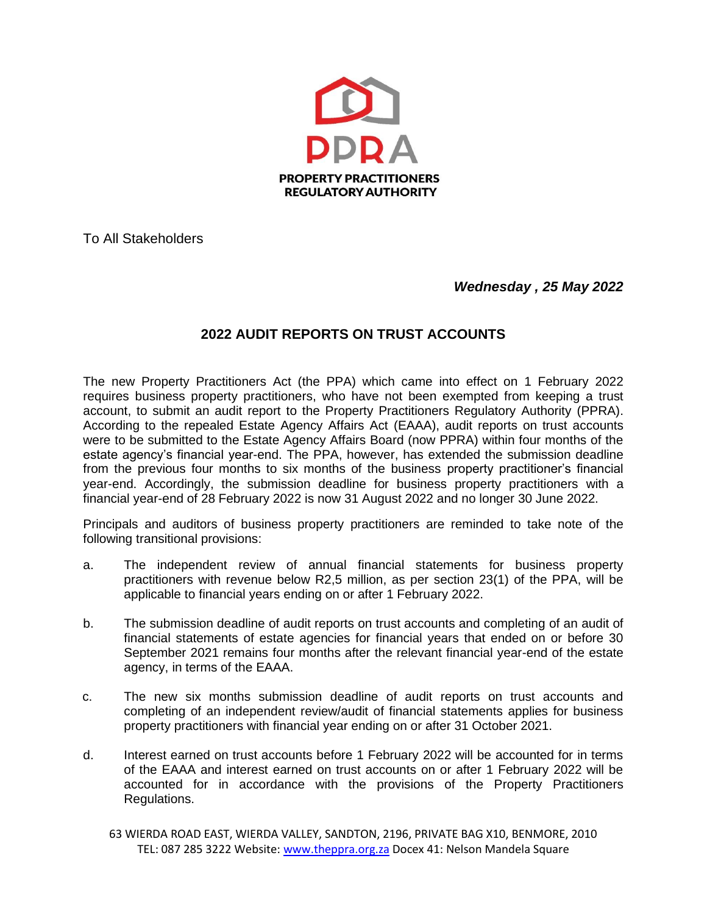

To All Stakeholders

*Wednesday , 25 May 2022* 

## **2022 AUDIT REPORTS ON TRUST ACCOUNTS**

The new Property Practitioners Act (the PPA) which came into effect on 1 February 2022 requires business property practitioners, who have not been exempted from keeping a trust account, to submit an audit report to the Property Practitioners Regulatory Authority (PPRA). According to the repealed Estate Agency Affairs Act (EAAA), audit reports on trust accounts were to be submitted to the Estate Agency Affairs Board (now PPRA) within four months of the estate agency's financial year-end. The PPA, however, has extended the submission deadline from the previous four months to six months of the business property practitioner's financial year-end. Accordingly, the submission deadline for business property practitioners with a financial year-end of 28 February 2022 is now 31 August 2022 and no longer 30 June 2022.

Principals and auditors of business property practitioners are reminded to take note of the following transitional provisions:

- a. The independent review of annual financial statements for business property practitioners with revenue below R2,5 million, as per section 23(1) of the PPA, will be applicable to financial years ending on or after 1 February 2022.
- b. The submission deadline of audit reports on trust accounts and completing of an audit of financial statements of estate agencies for financial years that ended on or before 30 September 2021 remains four months after the relevant financial year-end of the estate agency, in terms of the EAAA.
- c. The new six months submission deadline of audit reports on trust accounts and completing of an independent review/audit of financial statements applies for business property practitioners with financial year ending on or after 31 October 2021.
- d. Interest earned on trust accounts before 1 February 2022 will be accounted for in terms of the EAAA and interest earned on trust accounts on or after 1 February 2022 will be accounted for in accordance with the provisions of the Property Practitioners Regulations.
	- 63 WIERDA ROAD EAST, WIERDA VALLEY, SANDTON, 2196, PRIVATE BAG X10, BENMORE, 2010 TEL: 087 285 3222 Website: [www.theppra.org.za](http://www.theppra.org.za/) Docex 41: Nelson Mandela Square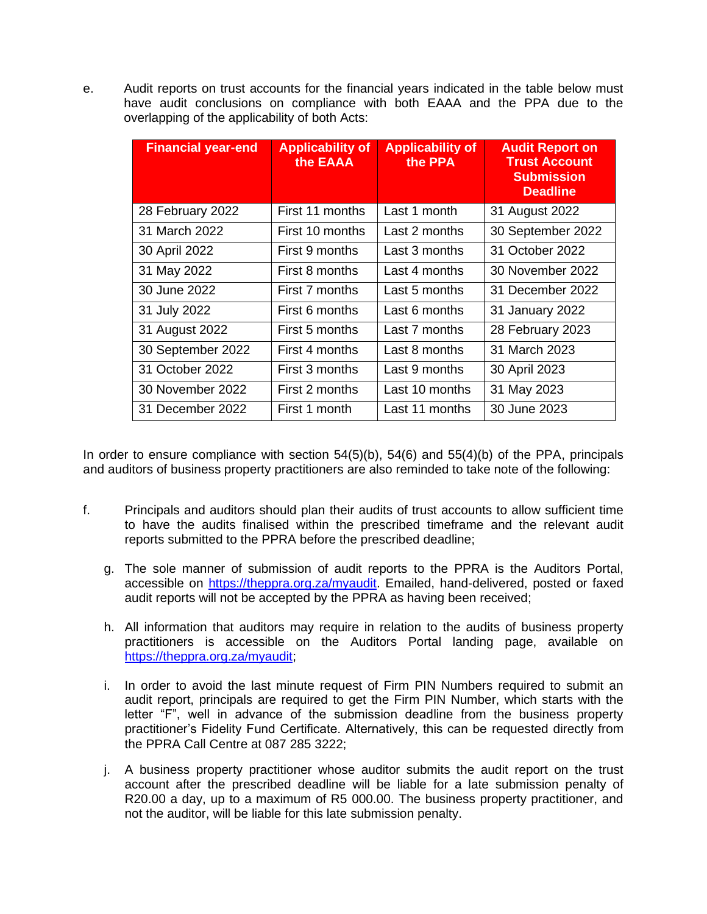e. Audit reports on trust accounts for the financial years indicated in the table below must have audit conclusions on compliance with both EAAA and the PPA due to the overlapping of the applicability of both Acts:

| <b>Financial year-end</b> | <b>Applicability of</b><br>the EAAA | <b>Applicability of</b><br>the PPA | <b>Audit Report on</b><br><b>Trust Account</b><br><b>Submission</b><br><b>Deadline</b> |
|---------------------------|-------------------------------------|------------------------------------|----------------------------------------------------------------------------------------|
| 28 February 2022          | First 11 months                     | Last 1 month                       | 31 August 2022                                                                         |
| 31 March 2022             | First 10 months                     | Last 2 months                      | 30 September 2022                                                                      |
| 30 April 2022             | First 9 months                      | Last 3 months                      | 31 October 2022                                                                        |
| 31 May 2022               | First 8 months                      | Last 4 months                      | 30 November 2022                                                                       |
| 30 June 2022              | First 7 months                      | Last 5 months                      | 31 December 2022                                                                       |
| 31 July 2022              | First 6 months                      | Last 6 months                      | 31 January 2022                                                                        |
| 31 August 2022            | First 5 months                      | Last 7 months                      | 28 February 2023                                                                       |
| 30 September 2022         | First 4 months                      | Last 8 months                      | 31 March 2023                                                                          |
| 31 October 2022           | First 3 months                      | Last 9 months                      | 30 April 2023                                                                          |
| 30 November 2022          | First 2 months                      | Last 10 months                     | 31 May 2023                                                                            |
| 31 December 2022          | First 1 month                       | Last 11 months                     | 30 June 2023                                                                           |

In order to ensure compliance with section  $54(5)(b)$ ,  $54(6)$  and  $55(4)(b)$  of the PPA, principals and auditors of business property practitioners are also reminded to take note of the following:

- f. Principals and auditors should plan their audits of trust accounts to allow sufficient time to have the audits finalised within the prescribed timeframe and the relevant audit reports submitted to the PPRA before the prescribed deadline;
	- g. The sole manner of submission of audit reports to the PPRA is the Auditors Portal, accessible on [https://theppra.org.za/myaudit.](https://theppra.org.za/myaudit) Emailed, hand-delivered, posted or faxed audit reports will not be accepted by the PPRA as having been received;
	- h. All information that auditors may require in relation to the audits of business property practitioners is accessible on the Auditors Portal landing page, available on [https://theppra.org.za/myaudit;](https://theppra.org.za/myaudit)
	- i. In order to avoid the last minute request of Firm PIN Numbers required to submit an audit report, principals are required to get the Firm PIN Number, which starts with the letter "F", well in advance of the submission deadline from the business property practitioner's Fidelity Fund Certificate. Alternatively, this can be requested directly from the PPRA Call Centre at 087 285 3222;
	- j. A business property practitioner whose auditor submits the audit report on the trust account after the prescribed deadline will be liable for a late submission penalty of R20.00 a day, up to a maximum of R5 000.00. The business property practitioner, and not the auditor, will be liable for this late submission penalty.